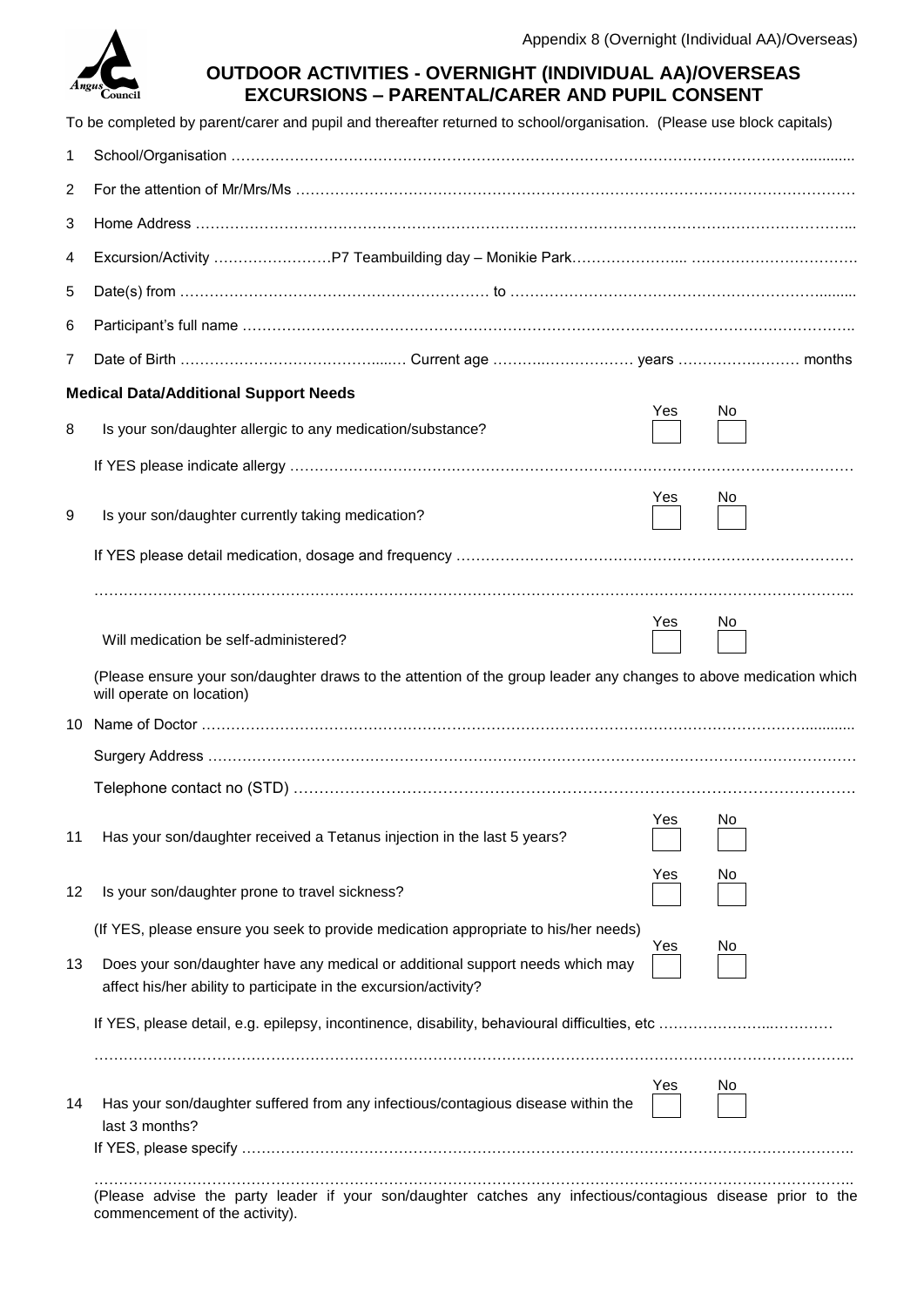

| <b>OUTDOOR ACTIVITIES - OVERNIGHT (INDIVIDUAL AA)/OVERSEAS</b> |  |
|----------------------------------------------------------------|--|
| <b>EXCURSIONS - PARENTAL/CARER AND PUPIL CONSENT</b>           |  |

|                | To be completed by parent/carer and pupil and thereafter returned to school/organisation. (Please use block capitals)                             |     |     |  |
|----------------|---------------------------------------------------------------------------------------------------------------------------------------------------|-----|-----|--|
| 1              |                                                                                                                                                   |     |     |  |
| $\overline{c}$ |                                                                                                                                                   |     |     |  |
| 3              |                                                                                                                                                   |     |     |  |
| 4              |                                                                                                                                                   |     |     |  |
| 5              |                                                                                                                                                   |     |     |  |
| 6              |                                                                                                                                                   |     |     |  |
| 7              |                                                                                                                                                   |     |     |  |
|                | <b>Medical Data/Additional Support Needs</b>                                                                                                      |     |     |  |
| 8              | Is your son/daughter allergic to any medication/substance?                                                                                        | Yes | No  |  |
|                |                                                                                                                                                   |     |     |  |
| 9              | Is your son/daughter currently taking medication?                                                                                                 | Yes | No. |  |
|                |                                                                                                                                                   |     |     |  |
|                |                                                                                                                                                   |     |     |  |
|                | Will medication be self-administered?                                                                                                             | Yes | Νo  |  |
|                | (Please ensure your son/daughter draws to the attention of the group leader any changes to above medication which<br>will operate on location)    |     |     |  |
| 10.            |                                                                                                                                                   |     |     |  |
|                |                                                                                                                                                   |     |     |  |
|                |                                                                                                                                                   |     |     |  |
| 11             | Has your son/daughter received a Tetanus injection in the last 5 years?                                                                           | Yes | No  |  |
| 12             | Is your son/daughter prone to travel sickness?                                                                                                    | Yes | No  |  |
|                | (If YES, please ensure you seek to provide medication appropriate to his/her needs)                                                               | Yes | No  |  |
| 13             | Does your son/daughter have any medical or additional support needs which may<br>affect his/her ability to participate in the excursion/activity? |     |     |  |
|                |                                                                                                                                                   |     |     |  |
|                |                                                                                                                                                   |     |     |  |
| 14             | Has your son/daughter suffered from any infectious/contagious disease within the<br>last 3 months?                                                | Yes | Νo  |  |
|                |                                                                                                                                                   |     |     |  |
|                | (Please advise the party leader if your son/daughter catches any infectious/contagious disease prior to the<br>commencement of the activity).     |     |     |  |